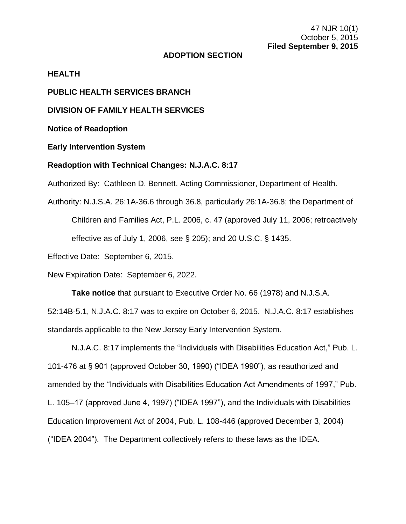## **ADOPTION SECTION**

### **HEALTH**

**PUBLIC HEALTH SERVICES BRANCH**

**DIVISION OF FAMILY HEALTH SERVICES**

**Notice of Readoption**

**Early Intervention System**

## **Readoption with Technical Changes: N.J.A.C. 8:17**

Authorized By: Cathleen D. Bennett, Acting Commissioner, Department of Health.

Authority: N.J.S.A. 26:1A-36.6 through 36.8, particularly 26:1A-36.8; the Department of Children and Families Act, P.L. 2006, c. 47 (approved July 11, 2006; retroactively effective as of July 1, 2006, see § 205); and 20 U.S.C. § 1435.

Effective Date: September 6, 2015.

New Expiration Date: September 6, 2022.

**Take notice** that pursuant to Executive Order No. 66 (1978) and N.J.S.A. 52:14B-5.1, N.J.A.C. 8:17 was to expire on October 6, 2015. N.J.A.C. 8:17 establishes standards applicable to the New Jersey Early Intervention System.

N.J.A.C. 8:17 implements the "Individuals with Disabilities Education Act," Pub. L. 101-476 at § 901 (approved October 30, 1990) ("IDEA 1990"), as reauthorized and amended by the "Individuals with Disabilities Education Act Amendments of 1997," Pub. L. 105–17 (approved June 4, 1997) ("IDEA 1997"), and the Individuals with Disabilities Education Improvement Act of 2004, Pub. L. 108-446 (approved December 3, 2004) ("IDEA 2004"). The Department collectively refers to these laws as the IDEA.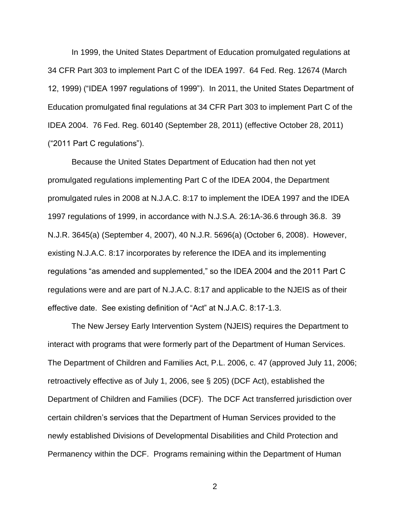In 1999, the United States Department of Education promulgated regulations at 34 CFR Part 303 to implement Part C of the IDEA 1997. 64 Fed. Reg. 12674 (March 12, 1999) ("IDEA 1997 regulations of 1999"). In 2011, the United States Department of Education promulgated final regulations at 34 CFR Part 303 to implement Part C of the IDEA 2004. 76 Fed. Reg. 60140 (September 28, 2011) (effective October 28, 2011) ("2011 Part C regulations").

Because the United States Department of Education had then not yet promulgated regulations implementing Part C of the IDEA 2004, the Department promulgated rules in 2008 at N.J.A.C. 8:17 to implement the IDEA 1997 and the IDEA 1997 regulations of 1999, in accordance with N.J.S.A. 26:1A-36.6 through 36.8. 39 N.J.R. 3645(a) (September 4, 2007), 40 N.J.R. 5696(a) (October 6, 2008). However, existing N.J.A.C. 8:17 incorporates by reference the IDEA and its implementing regulations "as amended and supplemented," so the IDEA 2004 and the 2011 Part C regulations were and are part of N.J.A.C. 8:17 and applicable to the NJEIS as of their effective date. See existing definition of "Act" at N.J.A.C. 8:17-1.3.

The New Jersey Early Intervention System (NJEIS) requires the Department to interact with programs that were formerly part of the Department of Human Services. The Department of Children and Families Act, P.L. 2006, c. 47 (approved July 11, 2006; retroactively effective as of July 1, 2006, see § 205) (DCF Act), established the Department of Children and Families (DCF). The DCF Act transferred jurisdiction over certain children's services that the Department of Human Services provided to the newly established Divisions of Developmental Disabilities and Child Protection and Permanency within the DCF. Programs remaining within the Department of Human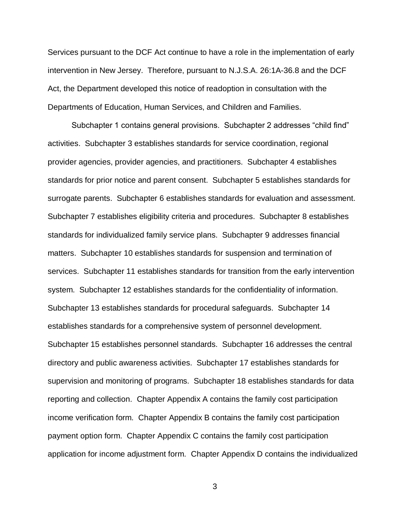Services pursuant to the DCF Act continue to have a role in the implementation of early intervention in New Jersey. Therefore, pursuant to N.J.S.A. 26:1A-36.8 and the DCF Act, the Department developed this notice of readoption in consultation with the Departments of Education, Human Services, and Children and Families.

Subchapter 1 contains general provisions. Subchapter 2 addresses "child find" activities. Subchapter 3 establishes standards for service coordination, regional provider agencies, provider agencies, and practitioners. Subchapter 4 establishes standards for prior notice and parent consent. Subchapter 5 establishes standards for surrogate parents. Subchapter 6 establishes standards for evaluation and assessment. Subchapter 7 establishes eligibility criteria and procedures. Subchapter 8 establishes standards for individualized family service plans. Subchapter 9 addresses financial matters. Subchapter 10 establishes standards for suspension and termination of services. Subchapter 11 establishes standards for transition from the early intervention system. Subchapter 12 establishes standards for the confidentiality of information. Subchapter 13 establishes standards for procedural safeguards. Subchapter 14 establishes standards for a comprehensive system of personnel development. Subchapter 15 establishes personnel standards. Subchapter 16 addresses the central directory and public awareness activities. Subchapter 17 establishes standards for supervision and monitoring of programs. Subchapter 18 establishes standards for data reporting and collection. Chapter Appendix A contains the family cost participation income verification form. Chapter Appendix B contains the family cost participation payment option form. Chapter Appendix C contains the family cost participation application for income adjustment form. Chapter Appendix D contains the individualized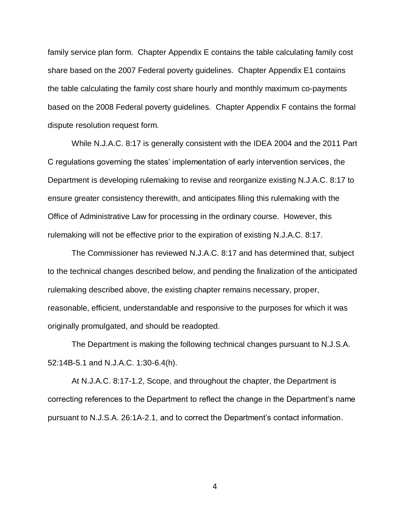family service plan form. Chapter Appendix E contains the table calculating family cost share based on the 2007 Federal poverty guidelines. Chapter Appendix E1 contains the table calculating the family cost share hourly and monthly maximum co-payments based on the 2008 Federal poverty guidelines. Chapter Appendix F contains the formal dispute resolution request form.

While N.J.A.C. 8:17 is generally consistent with the IDEA 2004 and the 2011 Part C regulations governing the states' implementation of early intervention services, the Department is developing rulemaking to revise and reorganize existing N.J.A.C. 8:17 to ensure greater consistency therewith, and anticipates filing this rulemaking with the Office of Administrative Law for processing in the ordinary course. However, this rulemaking will not be effective prior to the expiration of existing N.J.A.C. 8:17.

The Commissioner has reviewed N.J.A.C. 8:17 and has determined that, subject to the technical changes described below, and pending the finalization of the anticipated rulemaking described above, the existing chapter remains necessary, proper, reasonable, efficient, understandable and responsive to the purposes for which it was originally promulgated, and should be readopted.

The Department is making the following technical changes pursuant to N.J.S.A. 52:14B-5.1 and N.J.A.C. 1:30-6.4(h).

At N.J.A.C. 8:17-1.2, Scope, and throughout the chapter, the Department is correcting references to the Department to reflect the change in the Department's name pursuant to N.J.S.A. 26:1A-2.1, and to correct the Department's contact information.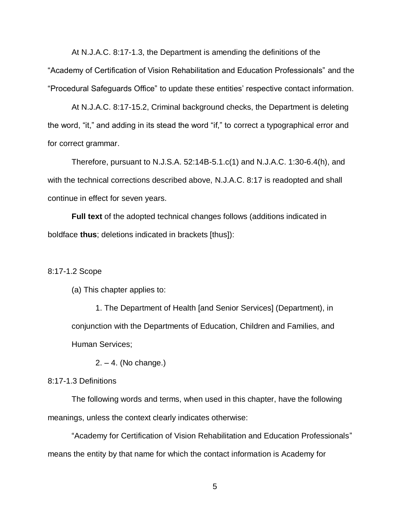At N.J.A.C. 8:17-1.3, the Department is amending the definitions of the "Academy of Certification of Vision Rehabilitation and Education Professionals" and the "Procedural Safeguards Office" to update these entities' respective contact information.

At N.J.A.C. 8:17-15.2, Criminal background checks, the Department is deleting the word, "it," and adding in its stead the word "if," to correct a typographical error and for correct grammar.

Therefore, pursuant to N.J.S.A. 52:14B-5.1.c(1) and N.J.A.C. 1:30-6.4(h), and with the technical corrections described above, N.J.A.C. 8:17 is readopted and shall continue in effect for seven years.

**Full text** of the adopted technical changes follows (additions indicated in boldface **thus**; deletions indicated in brackets [thus]):

#### 8:17-1.2 Scope

(a) This chapter applies to:

1. The Department of Health [and Senior Services] (Department), in conjunction with the Departments of Education, Children and Families, and Human Services;

2. – 4. (No change.)

## 8:17-1.3 Definitions

The following words and terms, when used in this chapter, have the following meanings, unless the context clearly indicates otherwise:

"Academy for Certification of Vision Rehabilitation and Education Professionals" means the entity by that name for which the contact information is Academy for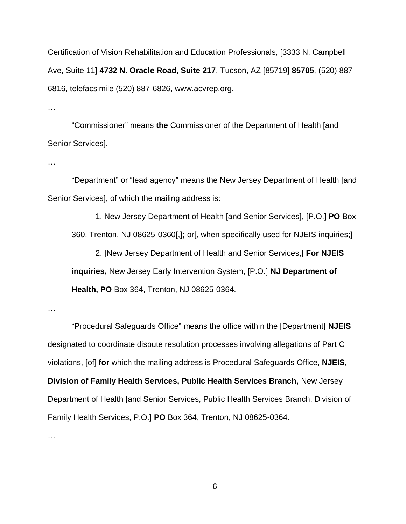Certification of Vision Rehabilitation and Education Professionals, [3333 N. Campbell Ave, Suite 11] **4732 N. Oracle Road, Suite 217**, Tucson, AZ [85719] **85705**, (520) 887- 6816, telefacsimile (520) 887-6826, www.acvrep.org.

…

"Commissioner" means **the** Commissioner of the Department of Health [and Senior Services].

…

"Department" or "lead agency" means the New Jersey Department of Health [and Senior Services], of which the mailing address is:

1. New Jersey Department of Health [and Senior Services], [P.O.] **PO** Box 360, Trenton, NJ 08625-0360[,]**;** or[, when specifically used for NJEIS inquiries;]

2. [New Jersey Department of Health and Senior Services,] **For NJEIS inquiries,** New Jersey Early Intervention System, [P.O.] **NJ Department of Health, PO** Box 364, Trenton, NJ 08625-0364.

…

…

"Procedural Safeguards Office" means the office within the [Department] **NJEIS** designated to coordinate dispute resolution processes involving allegations of Part C violations, [of] **for** which the mailing address is Procedural Safeguards Office, **NJEIS, Division of Family Health Services, Public Health Services Branch,** New Jersey Department of Health [and Senior Services, Public Health Services Branch, Division of Family Health Services, P.O.] **PO** Box 364, Trenton, NJ 08625-0364.